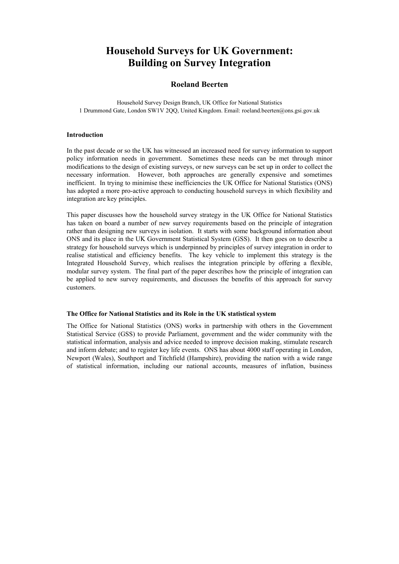# **Household Surveys for UK Government: Building on Survey Integration**

## **Roeland Beerten**

Household Survey Design Branch, UK Office for National Statistics 1 Drummond Gate, London SW1V 2QQ, United Kingdom. Email: roeland.beerten@ons.gsi.gov.uk

#### **Introduction**

In the past decade or so the UK has witnessed an increased need for survey information to support policy information needs in government. Sometimes these needs can be met through minor modifications to the design of existing surveys, or new surveys can be set up in order to collect the necessary information. However, both approaches are generally expensive and sometimes inefficient. In trying to minimise these inefficiencies the UK Office for National Statistics (ONS) has adopted a more pro-active approach to conducting household surveys in which flexibility and integration are key principles.

This paper discusses how the household survey strategy in the UK Office for National Statistics has taken on board a number of new survey requirements based on the principle of integration rather than designing new surveys in isolation. It starts with some background information about ONS and its place in the UK Government Statistical System (GSS). It then goes on to describe a strategy for household surveys which is underpinned by principles of survey integration in order to realise statistical and efficiency benefits. The key vehicle to implement this strategy is the Integrated Household Survey, which realises the integration principle by offering a flexible, modular survey system. The final part of the paper describes how the principle of integration can be applied to new survey requirements, and discusses the benefits of this approach for survey customers.

#### **The Office for National Statistics and its Role in the UK statistical system**

The Office for National Statistics (ONS) works in partnership with others in the Government Statistical Service (GSS) to provide Parliament, government and the wider community with the statistical information, analysis and advice needed to improve decision making, stimulate research and inform debate; and to register key life events. ONS has about 4000 staff operating in London, Newport (Wales), Southport and Titchfield (Hampshire), providing the nation with a wide range of statistical information, including our national accounts, measures of inflation, business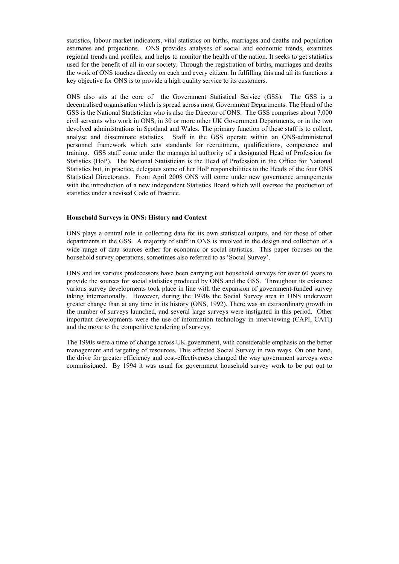statistics, labour market indicators, vital statistics on births, marriages and deaths and population estimates and projections. ONS provides analyses of social and economic trends, examines regional trends and profiles, and helps to monitor the health of the nation. It seeks to get statistics used for the benefit of all in our society. Through the registration of births, marriages and deaths the work of ONS touches directly on each and every citizen. In fulfilling this and all its functions a key objective for ONS is to provide a high quality service to its customers.

ONS also sits at the core of the Government Statistical Service (GSS). The GSS is a decentralised organisation which is spread across most Government Departments. The Head of the GSS is the National Statistician who is also the Director of ONS. The GSS comprises about 7,000 civil servants who work in ONS, in 30 or more other UK Government Departments, or in the two devolved administrations in Scotland and Wales. The primary function of these staff is to collect, analyse and disseminate statistics. Staff in the GSS operate within an ONS-administered personnel framework which sets standards for recruitment, qualifications, competence and training. GSS staff come under the managerial authority of a designated Head of Profession for Statistics (HoP). The National Statistician is the Head of Profession in the Office for National Statistics but, in practice, delegates some of her HoP responsibilities to the Heads of the four ONS Statistical Directorates. From April 2008 ONS will come under new governance arrangements with the introduction of a new independent Statistics Board which will oversee the production of statistics under a revised Code of Practice.

#### **Household Surveys in ONS: History and Context**

ONS plays a central role in collecting data for its own statistical outputs, and for those of other departments in the GSS. A majority of staff in ONS is involved in the design and collection of a wide range of data sources either for economic or social statistics. This paper focuses on the household survey operations, sometimes also referred to as 'Social Survey'.

ONS and its various predecessors have been carrying out household surveys for over 60 years to provide the sources for social statistics produced by ONS and the GSS. Throughout its existence various survey developments took place in line with the expansion of government-funded survey taking internationally. However, during the 1990s the Social Survey area in ONS underwent greater change than at any time in its history (ONS, 1992). There was an extraordinary growth in the number of surveys launched, and several large surveys were instigated in this period. Other important developments were the use of information technology in interviewing (CAPI, CATI) and the move to the competitive tendering of surveys.

The 1990s were a time of change across UK government, with considerable emphasis on the better management and targeting of resources. This affected Social Survey in two ways. On one hand, the drive for greater efficiency and cost-effectiveness changed the way government surveys were commissioned. By 1994 it was usual for government household survey work to be put out to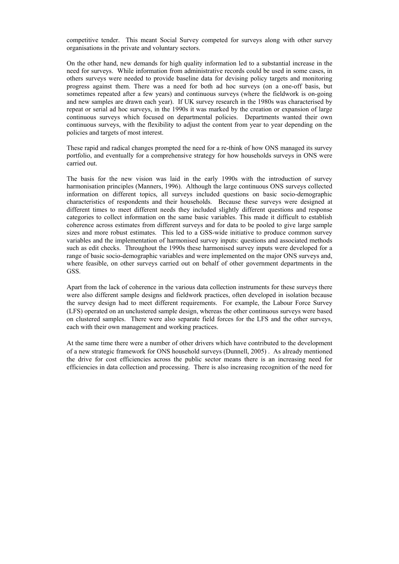competitive tender. This meant Social Survey competed for surveys along with other survey organisations in the private and voluntary sectors.

On the other hand, new demands for high quality information led to a substantial increase in the need for surveys. While information from administrative records could be used in some cases, in others surveys were needed to provide baseline data for devising policy targets and monitoring progress against them. There was a need for both ad hoc surveys (on a one-off basis, but sometimes repeated after a few years) and continuous surveys (where the fieldwork is on-going and new samples are drawn each year). If UK survey research in the 1980s was characterised by repeat or serial ad hoc surveys, in the 1990s it was marked by the creation or expansion of large continuous surveys which focused on departmental policies. Departments wanted their own continuous surveys, with the flexibility to adjust the content from year to year depending on the policies and targets of most interest.

These rapid and radical changes prompted the need for a re-think of how ONS managed its survey portfolio, and eventually for a comprehensive strategy for how households surveys in ONS were carried out.

The basis for the new vision was laid in the early 1990s with the introduction of survey harmonisation principles (Manners, 1996). Although the large continuous ONS surveys collected information on different topics, all surveys included questions on basic socio-demographic characteristics of respondents and their households. Because these surveys were designed at different times to meet different needs they included slightly different questions and response categories to collect information on the same basic variables. This made it difficult to establish coherence across estimates from different surveys and for data to be pooled to give large sample sizes and more robust estimates. This led to a GSS-wide initiative to produce common survey variables and the implementation of harmonised survey inputs: questions and associated methods such as edit checks. Throughout the 1990s these harmonised survey inputs were developed for a range of basic socio-demographic variables and were implemented on the major ONS surveys and, where feasible, on other surveys carried out on behalf of other government departments in the GSS.

Apart from the lack of coherence in the various data collection instruments for these surveys there were also different sample designs and fieldwork practices, often developed in isolation because the survey design had to meet different requirements. For example, the Labour Force Survey (LFS) operated on an unclustered sample design, whereas the other continuous surveys were based on clustered samples. There were also separate field forces for the LFS and the other surveys, each with their own management and working practices.

At the same time there were a number of other drivers which have contributed to the development of a new strategic framework for ONS household surveys (Dunnell, 2005) . As already mentioned the drive for cost efficiencies across the public sector means there is an increasing need for efficiencies in data collection and processing. There is also increasing recognition of the need for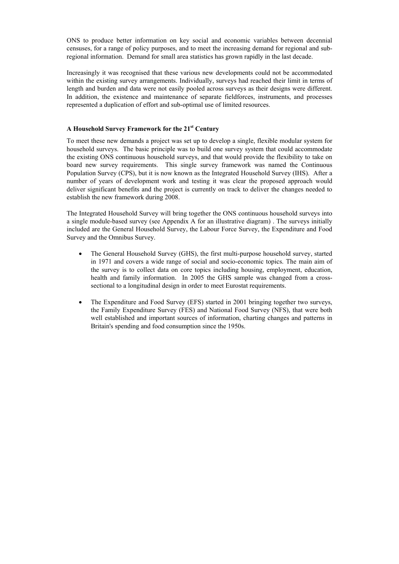ONS to produce better information on key social and economic variables between decennial censuses, for a range of policy purposes, and to meet the increasing demand for regional and subregional information. Demand for small area statistics has grown rapidly in the last decade.

Increasingly it was recognised that these various new developments could not be accommodated within the existing survey arrangements. Individually, surveys had reached their limit in terms of length and burden and data were not easily pooled across surveys as their designs were different. In addition, the existence and maintenance of separate fieldforces, instruments, and processes represented a duplication of effort and sub-optimal use of limited resources.

## **A Household Survey Framework for the 21st Century**

To meet these new demands a project was set up to develop a single, flexible modular system for household surveys. The basic principle was to build one survey system that could accommodate the existing ONS continuous household surveys, and that would provide the flexibility to take on board new survey requirements. This single survey framework was named the Continuous Population Survey (CPS), but it is now known as the Integrated Household Survey (IHS). After a number of years of development work and testing it was clear the proposed approach would deliver significant benefits and the project is currently on track to deliver the changes needed to establish the new framework during 2008.

The Integrated Household Survey will bring together the ONS continuous household surveys into a single module-based survey (see Appendix A for an illustrative diagram) . The surveys initially included are the General Household Survey, the Labour Force Survey, the Expenditure and Food Survey and the Omnibus Survey.

- The General Household Survey (GHS), the first multi-purpose household survey, started in 1971 and covers a wide range of social and socio-economic topics. The main aim of the survey is to collect data on core topics including housing, employment, education, health and family information. In 2005 the GHS sample was changed from a crosssectional to a longitudinal design in order to meet Eurostat requirements.
- The Expenditure and Food Survey (EFS) started in 2001 bringing together two surveys, the Family Expenditure Survey (FES) and National Food Survey (NFS), that were both well established and important sources of information, charting changes and patterns in Britain's spending and food consumption since the 1950s.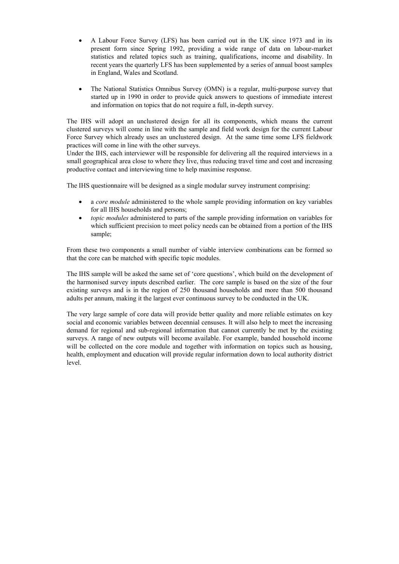- A Labour Force Survey (LFS) has been carried out in the UK since 1973 and in its present form since Spring 1992, providing a wide range of data on labour-market statistics and related topics such as training, qualifications, income and disability. In recent years the quarterly LFS has been supplemented by a series of annual boost samples in England, Wales and Scotland.
- The National Statistics Omnibus Survey (OMN) is a regular, multi-purpose survey that started up in 1990 in order to provide quick answers to questions of immediate interest and information on topics that do not require a full, in-depth survey.

The IHS will adopt an unclustered design for all its components, which means the current clustered surveys will come in line with the sample and field work design for the current Labour Force Survey which already uses an unclustered design. At the same time some LFS fieldwork practices will come in line with the other surveys.

Under the IHS, each interviewer will be responsible for delivering all the required interviews in a small geographical area close to where they live, thus reducing travel time and cost and increasing productive contact and interviewing time to help maximise response.

The IHS questionnaire will be designed as a single modular survey instrument comprising:

- a *core module* administered to the whole sample providing information on key variables for all IHS households and persons;
- *topic modules* administered to parts of the sample providing information on variables for which sufficient precision to meet policy needs can be obtained from a portion of the IHS sample;

From these two components a small number of viable interview combinations can be formed so that the core can be matched with specific topic modules.

The IHS sample will be asked the same set of 'core questions', which build on the development of the harmonised survey inputs described earlier. The core sample is based on the size of the four existing surveys and is in the region of 250 thousand households and more than 500 thousand adults per annum, making it the largest ever continuous survey to be conducted in the UK.

The very large sample of core data will provide better quality and more reliable estimates on key social and economic variables between decennial censuses. It will also help to meet the increasing demand for regional and sub-regional information that cannot currently be met by the existing surveys. A range of new outputs will become available. For example, banded household income will be collected on the core module and together with information on topics such as housing, health, employment and education will provide regular information down to local authority district level.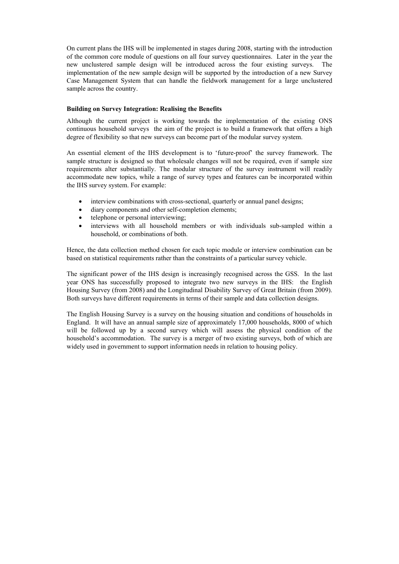On current plans the IHS will be implemented in stages during 2008, starting with the introduction of the common core module of questions on all four survey questionnaires. Later in the year the new unclustered sample design will be introduced across the four existing surveys. The implementation of the new sample design will be supported by the introduction of a new Survey Case Management System that can handle the fieldwork management for a large unclustered sample across the country.

### **Building on Survey Integration: Realising the Benefits**

Although the current project is working towards the implementation of the existing ONS continuous household surveys the aim of the project is to build a framework that offers a high degree of flexibility so that new surveys can become part of the modular survey system.

An essential element of the IHS development is to 'future-proof' the survey framework. The sample structure is designed so that wholesale changes will not be required, even if sample size requirements alter substantially. The modular structure of the survey instrument will readily accommodate new topics, while a range of survey types and features can be incorporated within the IHS survey system. For example:

- interview combinations with cross-sectional, quarterly or annual panel designs;
- diary components and other self-completion elements;
- telephone or personal interviewing;
- interviews with all household members or with individuals sub-sampled within a household, or combinations of both.

Hence, the data collection method chosen for each topic module or interview combination can be based on statistical requirements rather than the constraints of a particular survey vehicle.

The significant power of the IHS design is increasingly recognised across the GSS. In the last year ONS has successfully proposed to integrate two new surveys in the IHS: the English Housing Survey (from 2008) and the Longitudinal Disability Survey of Great Britain (from 2009). Both surveys have different requirements in terms of their sample and data collection designs.

The English Housing Survey is a survey on the housing situation and conditions of households in England. It will have an annual sample size of approximately 17,000 households, 8000 of which will be followed up by a second survey which will assess the physical condition of the household's accommodation. The survey is a merger of two existing surveys, both of which are widely used in government to support information needs in relation to housing policy.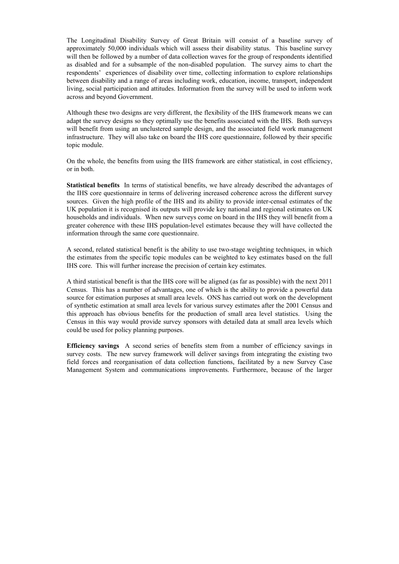The Longitudinal Disability Survey of Great Britain will consist of a baseline survey of approximately 50,000 individuals which will assess their disability status. This baseline survey will then be followed by a number of data collection waves for the group of respondents identified as disabled and for a subsample of the non-disabled population. The survey aims to chart the respondents' experiences of disability over time, collecting information to explore relationships between disability and a range of areas including work, education, income, transport, independent living, social participation and attitudes. Information from the survey will be used to inform work across and beyond Government.

Although these two designs are very different, the flexibility of the IHS framework means we can adapt the survey designs so they optimally use the benefits associated with the IHS. Both surveys will benefit from using an unclustered sample design, and the associated field work management infrastructure. They will also take on board the IHS core questionnaire, followed by their specific topic module.

On the whole, the benefits from using the IHS framework are either statistical, in cost efficiency, or in both.

**Statistical benefits** In terms of statistical benefits, we have already described the advantages of the IHS core questionnaire in terms of delivering increased coherence across the different survey sources. Given the high profile of the IHS and its ability to provide inter-censal estimates of the UK population it is recognised its outputs will provide key national and regional estimates on UK households and individuals. When new surveys come on board in the IHS they will benefit from a greater coherence with these IHS population-level estimates because they will have collected the information through the same core questionnaire.

A second, related statistical benefit is the ability to use two-stage weighting techniques, in which the estimates from the specific topic modules can be weighted to key estimates based on the full IHS core. This will further increase the precision of certain key estimates.

A third statistical benefit is that the IHS core will be aligned (as far as possible) with the next 2011 Census. This has a number of advantages, one of which is the ability to provide a powerful data source for estimation purposes at small area levels. ONS has carried out work on the development of synthetic estimation at small area levels for various survey estimates after the 2001 Census and this approach has obvious benefits for the production of small area level statistics. Using the Census in this way would provide survey sponsors with detailed data at small area levels which could be used for policy planning purposes.

**Efficiency savings** A second series of benefits stem from a number of efficiency savings in survey costs. The new survey framework will deliver savings from integrating the existing two field forces and reorganisation of data collection functions, facilitated by a new Survey Case Management System and communications improvements. Furthermore, because of the larger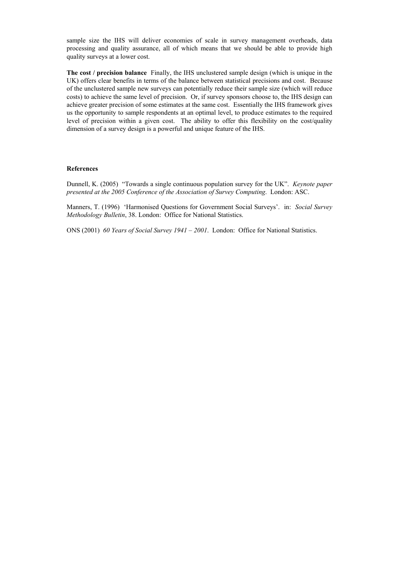sample size the IHS will deliver economies of scale in survey management overheads, data processing and quality assurance, all of which means that we should be able to provide high quality surveys at a lower cost.

**The cost / precision balance** Finally, the IHS unclustered sample design (which is unique in the UK) offers clear benefits in terms of the balance between statistical precisions and cost. Because of the unclustered sample new surveys can potentially reduce their sample size (which will reduce costs) to achieve the same level of precision. Or, if survey sponsors choose to, the IHS design can achieve greater precision of some estimates at the same cost. Essentially the IHS framework gives us the opportunity to sample respondents at an optimal level, to produce estimates to the required level of precision within a given cost. The ability to offer this flexibility on the cost/quality dimension of a survey design is a powerful and unique feature of the IHS.

#### **References**

Dunnell, K. (2005) "Towards a single continuous population survey for the UK". *Keynote paper presented at the 2005 Conference of the Association of Survey Computing*. London: ASC.

Manners, T. (1996) 'Harmonised Questions for Government Social Surveys'. in: *Social Survey Methodology Bulletin*, 38. London: Office for National Statistics.

ONS (2001) *60 Years of Social Survey 1941 – 2001*. London: Office for National Statistics.